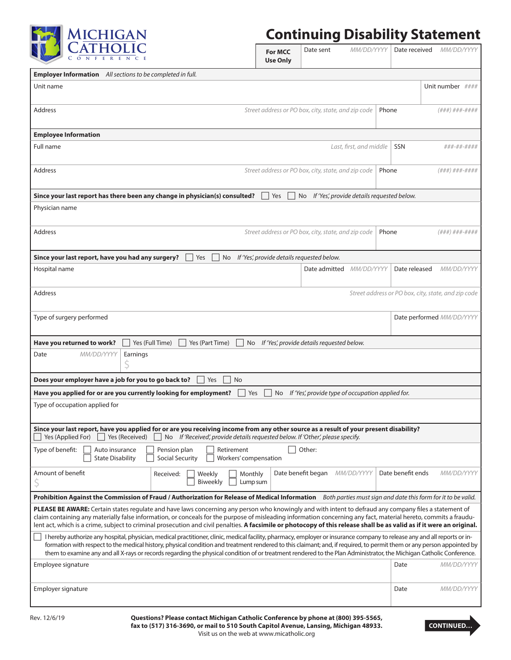

## **Continuing Disability Statement**

|                                                                                                                                                                                                                                                                                                                                                                                                                                                                                                                             | <b>For MCC</b><br><b>Use Only</b>             | Date sent                                           | MM/DD/YYYY              | Date received                                       | <i>MM/DD/YYYY</i>         |  |  |
|-----------------------------------------------------------------------------------------------------------------------------------------------------------------------------------------------------------------------------------------------------------------------------------------------------------------------------------------------------------------------------------------------------------------------------------------------------------------------------------------------------------------------------|-----------------------------------------------|-----------------------------------------------------|-------------------------|-----------------------------------------------------|---------------------------|--|--|
| <b>Employer Information</b> All sections to be completed in full.                                                                                                                                                                                                                                                                                                                                                                                                                                                           |                                               |                                                     |                         |                                                     |                           |  |  |
| Unit name                                                                                                                                                                                                                                                                                                                                                                                                                                                                                                                   |                                               |                                                     |                         |                                                     | Unit number ####          |  |  |
| Address                                                                                                                                                                                                                                                                                                                                                                                                                                                                                                                     |                                               | Street address or PO box, city, state, and zip code | Phone                   |                                                     | (###)###-####             |  |  |
| <b>Employee Information</b>                                                                                                                                                                                                                                                                                                                                                                                                                                                                                                 |                                               |                                                     |                         |                                                     |                           |  |  |
| Full name                                                                                                                                                                                                                                                                                                                                                                                                                                                                                                                   |                                               |                                                     | Last, first, and middle | SSN                                                 | ###-##-####               |  |  |
| <b>Address</b>                                                                                                                                                                                                                                                                                                                                                                                                                                                                                                              |                                               | Street address or PO box, city, state, and zip code | Phone                   |                                                     | (###) ###-####            |  |  |
| Since your last report has there been any change in physician(s) consulted?<br>No If 'Yes', provide details requested below.<br>Yes                                                                                                                                                                                                                                                                                                                                                                                         |                                               |                                                     |                         |                                                     |                           |  |  |
| Physician name                                                                                                                                                                                                                                                                                                                                                                                                                                                                                                              |                                               |                                                     |                         |                                                     |                           |  |  |
| Address                                                                                                                                                                                                                                                                                                                                                                                                                                                                                                                     |                                               | Street address or PO box, city, state, and zip code | Phone                   |                                                     | (###)###-####             |  |  |
| Since your last report, have you had any surgery?<br>Yes                                                                                                                                                                                                                                                                                                                                                                                                                                                                    | No If 'Yes', provide details requested below. |                                                     |                         |                                                     |                           |  |  |
| Hospital name                                                                                                                                                                                                                                                                                                                                                                                                                                                                                                               |                                               | Date admitted MM/DD/YYYY                            |                         | Date released                                       | MM/DD/YYYY                |  |  |
| Address                                                                                                                                                                                                                                                                                                                                                                                                                                                                                                                     |                                               |                                                     |                         | Street address or PO box, city, state, and zip code |                           |  |  |
| Type of surgery performed                                                                                                                                                                                                                                                                                                                                                                                                                                                                                                   |                                               |                                                     |                         |                                                     | Date performed MM/DD/YYYY |  |  |
| Yes (Full Time)<br>Have you returned to work?<br>Yes (Part Time)<br>No If 'Yes', provide details requested below.                                                                                                                                                                                                                                                                                                                                                                                                           |                                               |                                                     |                         |                                                     |                           |  |  |
| MM/DD/YYYY<br>Date<br>Earnings                                                                                                                                                                                                                                                                                                                                                                                                                                                                                              |                                               |                                                     |                         |                                                     |                           |  |  |
| Does your employer have a job for you to go back to?<br>Yes<br>No.                                                                                                                                                                                                                                                                                                                                                                                                                                                          |                                               |                                                     |                         |                                                     |                           |  |  |
|                                                                                                                                                                                                                                                                                                                                                                                                                                                                                                                             |                                               |                                                     |                         |                                                     |                           |  |  |
| Have you applied for or are you currently looking for employment?<br>If 'Yes', provide type of occupation applied for.<br>Yes<br>No.<br>Type of occupation applied for                                                                                                                                                                                                                                                                                                                                                      |                                               |                                                     |                         |                                                     |                           |  |  |
| Since your last report, have you applied for or are you receiving income from any other source as a result of your present disability?<br>If 'Received', provide details requested below. If 'Other', please specify.<br>Yes (Applied For)<br>Yes (Received)<br>No                                                                                                                                                                                                                                                          |                                               |                                                     |                         |                                                     |                           |  |  |
| Type of benefit:<br>Auto insurance<br>Pension plan<br>Retirement<br><b>State Disability</b><br>Social Security<br>Workers' compensation                                                                                                                                                                                                                                                                                                                                                                                     |                                               | Other:                                              |                         |                                                     |                           |  |  |
| Amount of benefit<br>Monthly<br>Received:<br>Weekly<br>Biweekly<br>Lump sum                                                                                                                                                                                                                                                                                                                                                                                                                                                 |                                               | Date benefit began                                  | <i>MM/DD/YYYY</i>       | Date benefit ends                                   | MM/DD/YYYY                |  |  |
| Prohibition Against the Commission of Fraud / Authorization for Release of Medical Information Both parties must sign and date this form for it to be valid.                                                                                                                                                                                                                                                                                                                                                                |                                               |                                                     |                         |                                                     |                           |  |  |
| PLEASE BE AWARE: Certain states regulate and have laws concerning any person who knowingly and with intent to defraud any company files a statement of<br>claim containing any materially false information, or conceals for the purpose of misleading information concerning any fact, material hereto, commits a fraudu-<br>lent act, which is a crime, subject to criminal prosecution and civil penalties. A facsimile or photocopy of this release shall be as valid as if it were an original.                        |                                               |                                                     |                         |                                                     |                           |  |  |
| I hereby authorize any hospital, physician, medical practitioner, clinic, medical facility, pharmacy, employer or insurance company to release any and all reports or in-<br>formation with respect to the medical history, physical condition and treatment rendered to this claimant; and, if required, to permit them or any person appointed by<br>them to examine any and all X-rays or records regarding the physical condition of or treatment rendered to the Plan Administrator, the Michigan Catholic Conference. |                                               |                                                     |                         |                                                     |                           |  |  |
| Employee signature                                                                                                                                                                                                                                                                                                                                                                                                                                                                                                          |                                               |                                                     |                         | Date                                                | MM/DD/YYYY                |  |  |
| Employer signature                                                                                                                                                                                                                                                                                                                                                                                                                                                                                                          |                                               |                                                     |                         | Date                                                | MM/DD/YYYY                |  |  |
| Rev. 12/6/19<br>Questions? Please contact Michigan Catholic Conference by phone at (800) 395-5565,                                                                                                                                                                                                                                                                                                                                                                                                                          |                                               |                                                     |                         |                                                     |                           |  |  |